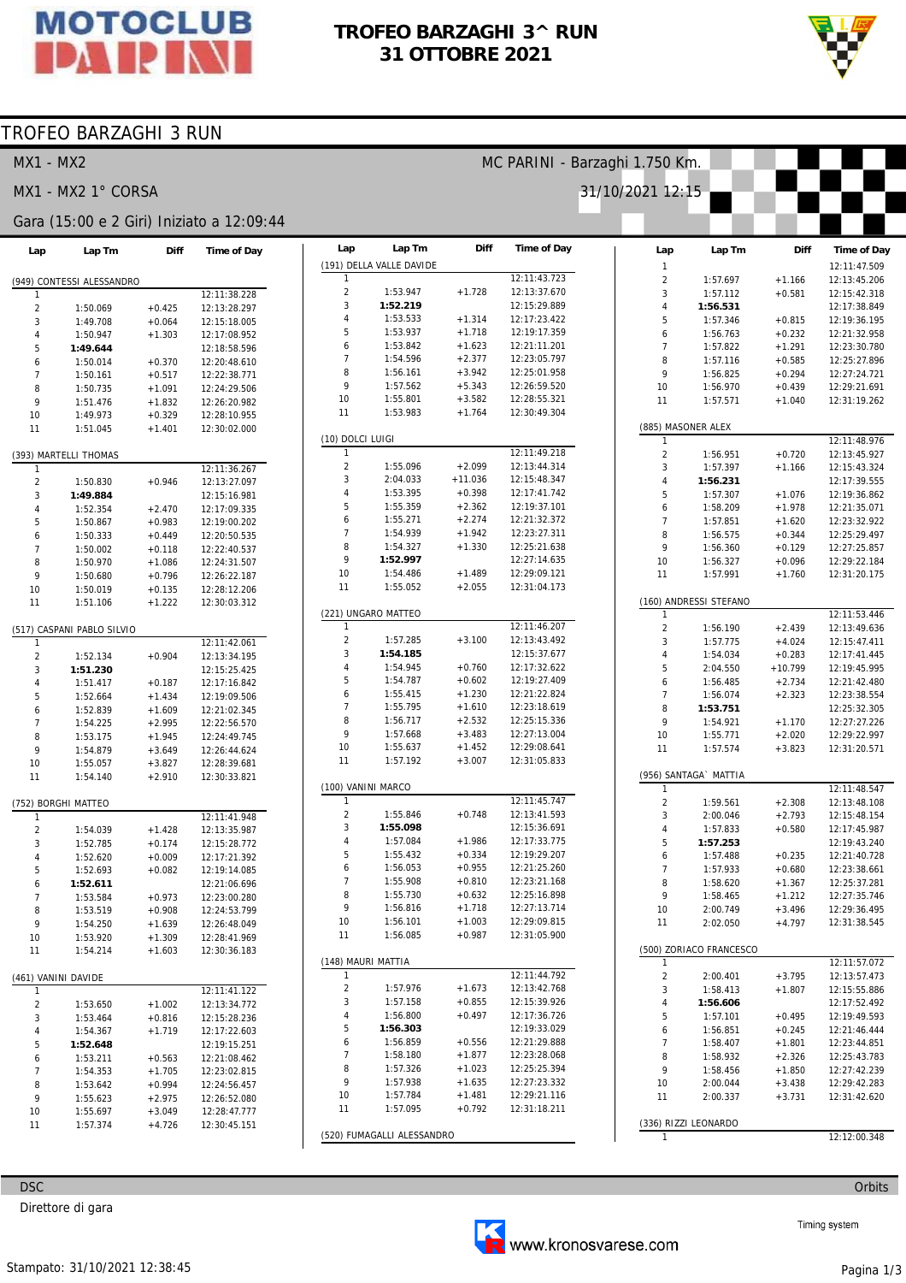

## TROFEO BARZAGHI 3^ RUN 31 OTTOBRE 2021

MC PARINI - Barzaghi 1.750 Km.

31/10/2021 12:15



# TROFEO BARZAGHI 3 RUN

**MX1 - MX2** 

MX1 - MX2 1° CORSA

### Gara (15:00 e 2 Giri) Iniziato a 12:09:44

| Lap            | Lap Tm                    | Diff                 | <b>Time of Day</b>           |
|----------------|---------------------------|----------------------|------------------------------|
|                |                           |                      |                              |
|                | (949) CONTESSI ALESSANDRO |                      |                              |
| 1              |                           |                      | 12:11:38.228                 |
| $\overline{c}$ | 1:50.069                  | $+0.425$             | 12:13:28.297                 |
| 3              | 1:49.708                  | $+0.064$             | 12:15:18.005                 |
| 4              | 1:50.947                  | $+1.303$             | 12:17:08.952                 |
| 5              | 1:49.644                  |                      | 12:18:58.596                 |
| 6              | 1:50.014                  | $+0.370$             | 12:20:48.610                 |
| $\overline{7}$ | 1:50.161                  | $+0.517$             | 12:22:38.771                 |
| 8              | 1:50.735                  | $+1.091$             | 12:24:29.506                 |
| 9              | 1:51.476                  | $+1.832$             | 12:26:20.982                 |
| 10             | 1:49.973                  | $+0.329$             | 12:28:10.955                 |
| 11             | 1:51.045                  | $+1.401$             | 12:30:02.000                 |
|                | (393) MARTELLI THOMAS     |                      |                              |
| 1              |                           |                      | 12:11:36.267                 |
| $\overline{2}$ | 1:50.830                  | $+0.946$             | 12:13:27.097                 |
| 3              | 1:49.884                  |                      | 12:15:16.981                 |
| 4              | 1:52.354                  | $+2.470$             | 12:17:09.335                 |
| 5              | 1:50.867                  | +0.983               | 12:19:00.202                 |
| 6              | 1:50.333                  | $+0.449$             | 12:20:50.535                 |
| 7              | 1:50.002                  | $+0.118$             | 12:22:40.537                 |
| 8              | 1:50.970                  | $+1.086$             | 12:24:31.507                 |
| 9              | 1:50.680                  | $+0.796$             | 12:26:22.187                 |
|                |                           |                      |                              |
| 10             | 1:50.019                  | $+0.135$             | 12:28:12.206                 |
| 11             | 1:51.106                  | $+1.222$             | 12:30:03.312                 |
| (517)          | CASPANI PABLO SILVIO      |                      |                              |
| 1              |                           |                      | 12:11:42.061                 |
| 2              | 1:52.134                  | $+0.904$             | 12:13:34.195                 |
| 3              | 1:51.230                  |                      | 12:15:25.425                 |
| 4              | 1:51.417                  | $+0.187$             | 12:17:16.842                 |
| 5              | 1:52.664                  | $+1.434$             | 12:19:09.506                 |
| 6              | 1:52.839                  | $+1.609$             | 12:21:02.345                 |
| 7              | 1:54.225                  | $+2.995$             | 12:22:56.570                 |
| 8              | 1:53.175                  | $+1.945$             | 12:24:49.745                 |
| 9              | 1:54.879                  | $+3.649$             | 12:26:44.624                 |
|                |                           |                      |                              |
| 10<br>11       | 1:55.057<br>1:54.140      | $+3.827$<br>$+2.910$ | 12:28:39.681<br>12:30:33.821 |
|                |                           |                      |                              |
|                | (752) BORGHI MATTEO       |                      |                              |
| 1              |                           |                      | 12:11:41.948                 |
| $\overline{2}$ | 1:54.039                  | $+1.428$             | 12:13:35.987                 |
| 3              | 1:52.785                  | $+0.174$             | 12:15:28.772                 |
| 4              | 1:52.620                  | $+0.009$             | 12:17:21.392                 |
| 5              | 1:52.693                  | $+0.082$             | 12:19:14.085                 |
| 6              | 1:52.611                  |                      | 12:21:06.696                 |
| 7              | 1:53.584                  | +0.973               | 12:23:00.280                 |
| 8              | 1:53.519                  | $+0.908$             | 12:24:53.799                 |
| 9              | 1:54.250                  | +1.639               | 12:26:48.049                 |
| 10             | 1:53.920                  | $+1.309$             | 12:28:41.969                 |
| 11             | 1:54.214                  | $+1.603$             | 12:30:36.183                 |
|                | (461) VANINI DAVIDE       |                      |                              |
| 1              |                           |                      | 12:11:41.122                 |
| $\overline{2}$ | 1:53.650                  | $+1.002$             | 12:13:34.772                 |
| 3              | 1:53.464                  | $+0.816$             | 12:15:28.236                 |
| 4              | 1:54.367                  | $+1.719$             | 12:17:22.603                 |
| 5              | 1:52.648                  |                      | 12:19:15.251                 |
| 6              | 1:53.211                  | $+0.563$             | 12:21:08.462                 |
| $\overline{7}$ |                           |                      | 12:23:02.815                 |
|                | 1:54.353                  | $+1.705$             |                              |
| 8              | 1:53.642                  | $+0.994$             | 12:24:56.457                 |
| 9              | 1:55.623                  | $+2.975$             | 12:26:52.080                 |
| 10             | 1:55.697                  | $+3.049$             | 12:28:47.777                 |
| 11             | 1:57.374                  | $+4.726$             | 12:30:45.151                 |
|                |                           |                      |                              |

Direttore di gara

**DSC** 

| Lap                     | Lap Tm                     | Diff      | <b>Time of Day</b> |  |  |  |
|-------------------------|----------------------------|-----------|--------------------|--|--|--|
|                         | (191) DELLA VALLE DAVIDE   |           |                    |  |  |  |
| 1                       |                            |           | 12:11:43.723       |  |  |  |
| 2                       | 1:53.947                   | $+1.728$  | 12:13:37.670       |  |  |  |
| 3                       | 1:52.219                   |           | 12:15:29.889       |  |  |  |
| 4                       | 1:53.533                   | $+1.314$  | 12:17:23.422       |  |  |  |
| 5                       | 1:53.937                   | $+1.718$  | 12:19:17.359       |  |  |  |
| 6                       | 1:53.842                   | $+1.623$  | 12:21:11.201       |  |  |  |
| 7                       | 1:54.596                   | $+2.377$  | 12:23:05.797       |  |  |  |
| 8                       | 1:56.161                   | $+3.942$  | 12:25:01.958       |  |  |  |
| 9                       | 1:57.562                   | $+5.343$  | 12:26:59.520       |  |  |  |
| 10                      | 1:55.801                   | $+3.582$  | 12:28:55.321       |  |  |  |
| 11                      | 1:53.983                   | $+1.764$  | 12:30:49.304       |  |  |  |
|                         |                            |           |                    |  |  |  |
| (10) DOLCI LUIGI<br>1   |                            |           | 12:11:49.218       |  |  |  |
| 2                       | 1:55.096                   | $+2.099$  | 12:13:44.314       |  |  |  |
| 3                       | 2:04.033                   | $+11.036$ | 12:15:48.347       |  |  |  |
| 4                       | 1:53.395                   | $+0.398$  | 12:17:41.742       |  |  |  |
| 5                       | 1:55.359                   | $+2.362$  | 12:19:37.101       |  |  |  |
| 6                       | 1:55.271                   | $+2.274$  | 12:21:32.372       |  |  |  |
| 7                       | 1:54.939                   | $+1.942$  | 12:23:27.311       |  |  |  |
| 8                       | 1:54.327                   | $+1.330$  | 12:25:21.638       |  |  |  |
| 9                       | 1:52.997                   |           | 12:27:14.635       |  |  |  |
| 10                      | 1:54.486                   | $+1.489$  | 12:29:09.121       |  |  |  |
| 11                      | 1:55.052                   | $+2.055$  | 12:31:04.173       |  |  |  |
|                         |                            |           |                    |  |  |  |
|                         | (221) UNGARO MATTEO        |           |                    |  |  |  |
| 1                       |                            |           | 12:11:46.207       |  |  |  |
| 2                       | 1:57.285                   | $+3.100$  | 12:13:43.492       |  |  |  |
| 3                       | 1:54.185                   |           | 12:15:37.677       |  |  |  |
| 4                       | 1:54.945                   | $+0.760$  | 12:17:32.622       |  |  |  |
| 5                       | 1:54.787                   | $+0.602$  | 12:19:27.409       |  |  |  |
| 6                       | 1:55.415                   | $+1.230$  | 12:21:22.824       |  |  |  |
| 7                       | 1:55.795                   | $+1.610$  | 12:23:18.619       |  |  |  |
| 8                       | 1:56.717                   | $+2.532$  | 12:25:15.336       |  |  |  |
| 9                       | 1:57.668                   | $+3.483$  | 12:27:13.004       |  |  |  |
| 10                      | 1:55.637                   | $+1.452$  | 12:29:08.641       |  |  |  |
| 11                      | 1:57.192                   | $+3.007$  | 12:31:05.833       |  |  |  |
|                         |                            |           |                    |  |  |  |
| (100) VANINI MARCO<br>1 |                            |           | 12:11:45.747       |  |  |  |
| 2                       | 1:55.846                   | $+0.748$  | 12:13:41.593       |  |  |  |
| 3                       | 1:55.098                   |           | 12:15:36.691       |  |  |  |
| 4                       | 1:57.084                   | $+1.986$  | 12:17:33.775       |  |  |  |
| 5                       | 1:55.432                   | $+0.334$  | 12:19:29.207       |  |  |  |
| 6                       | 1:56.053                   | $+0.955$  | 12:21:25.260       |  |  |  |
| 7                       | 1:55.908                   | $+0.810$  | 12:23:21.168       |  |  |  |
| 8                       | 1:55.730                   | $+0.632$  | 12:25:16.898       |  |  |  |
| 9                       | 1:56.816                   | $+1.718$  | 12:27:13.714       |  |  |  |
| 10                      | 1:56.101                   | $+1.003$  | 12:29:09.815       |  |  |  |
| 11                      | 1:56.085                   | $+0.987$  | 12:31:05.900       |  |  |  |
|                         |                            |           |                    |  |  |  |
| (148) MAURI MATTIA      |                            |           |                    |  |  |  |
| 1                       |                            |           | 12:11:44.792       |  |  |  |
| 2                       | 1:57.976                   | $+1.673$  | 12:13:42.768       |  |  |  |
| 3                       | 1:57.158                   | $+0.855$  | 12:15:39.926       |  |  |  |
| 4                       | 1:56.800                   | $+0.497$  | 12:17:36.726       |  |  |  |
| 5                       | 1:56.303                   |           | 12:19:33.029       |  |  |  |
| 6                       | 1:56.859                   | $+0.556$  | 12:21:29.888       |  |  |  |
| 7                       | 1:58.180                   | $+1.877$  | 12:23:28.068       |  |  |  |
| 8                       | 1:57.326                   | $+1.023$  | 12:25:25.394       |  |  |  |
| 9                       | 1:57.938                   | $+1.635$  | 12:27:23.332       |  |  |  |
| 10                      | 1:57.784                   | $+1.481$  | 12:29:21.116       |  |  |  |
| 11                      | 1:57.095                   | $+0.792$  | 12:31:18.211       |  |  |  |
|                         | (520) FUMAGALLI ALESSANDRO |           |                    |  |  |  |
|                         |                            |           |                    |  |  |  |

| Lap                     | Lap Tm                  | Diff                 | <b>Time of Day</b>           |
|-------------------------|-------------------------|----------------------|------------------------------|
| 1                       |                         |                      | 12:11:47.509                 |
| $\overline{c}$<br>3     | 1:57.697<br>1:57.112    | $+1.166$<br>$+0.581$ | 12:13:45.206<br>12:15:42.318 |
| 4                       | 1:56.531                |                      | 12:17:38.849                 |
| 5                       | 1:57.346                | $+0.815$             | 12:19:36.195                 |
| 6                       | 1:56.763                | $+0.232$             | 12:21:32.958                 |
| $\overline{7}$          | 1:57.822                | $+1.291$             | 12:23:30.780                 |
| 8                       | 1:57.116                | $+0.585$             | 12:25:27.896                 |
| 9                       | 1:56.825                | $+0.294$             | 12:27:24.721                 |
| 10                      | 1:56.970                | $+0.439$             | 12:29:21.691                 |
| 11                      | 1:57.571                | $+1.040$             | 12:31:19.262                 |
|                         | (885) MASONER ALEX      |                      |                              |
| 1<br>$\overline{c}$     | 1:56.951                | $+0.720$             | 12:11:48.976<br>12:13:45.927 |
| 3                       | 1:57.397                | $+1.166$             | 12:15:43.324                 |
| 4                       | 1:56.231                |                      | 12:17:39.555                 |
| 5                       | 1:57.307                | $+1.076$             | 12:19:36.862                 |
| 6                       | 1:58.209                | $+1.978$             | 12:21:35.071                 |
| $\overline{7}$          | 1:57.851                | $+1.620$             | 12:23:32.922                 |
| 8                       | 1:56.575                | $+0.344$             | 12:25:29.497                 |
| 9                       | 1:56.360                | $+0.129$             | 12:27:25.857                 |
| 10                      | 1:56.327                | $+0.096$             | 12:29:22.184                 |
| 11                      | 1:57.991                | $+1.760$             | 12:31:20.175                 |
|                         | (160) ANDRESSI STEFANO  |                      |                              |
| 1                       |                         |                      | 12:11:53.446                 |
| $\overline{2}$          | 1:56.190                | $+2.439$             | 12:13:49.636                 |
| 3                       | 1:57.775                | $+4.024$             | 12:15:47.411                 |
| 4                       | 1:54.034                | $+0.283$             | 12:17:41.445                 |
| 5                       | 2:04.550                | $+10.799$            | 12:19:45.995                 |
| 6                       | 1:56.485                | $+2.734$             | 12:21:42.480                 |
| 7                       | 1:56.074                | $+2.323$             | 12:23:38.554                 |
| 8                       | 1:53.751                |                      | 12:25:32.305                 |
| 9                       | 1:54.921                | $+1.170$             | 12:27:27.226                 |
| 10                      | 1:55.771                | $+2.020$             | 12:29:22.997                 |
| 11                      | 1:57.574                | $+3.823$             | 12:31:20.571                 |
| 1                       | (956) SANTAGA` MATTIA   |                      | 12:11:48.547                 |
| $\overline{c}$          | 1:59.561                | $+2.308$             | 12:13:48.108                 |
| 3                       | 2:00.046                | $+2.793$             | 12:15:48.154                 |
| 4                       | 1:57.833                | $+0.580$             | 12:17:45.987                 |
| 5                       | 1:57.253                |                      | 12:19:43.240                 |
| 6                       | 1:57.488                | $+0.235$             | 12:21:40.728                 |
| 7                       | 1:57.933                | $+0.680$             | 12:23:38.661                 |
| 8                       | 1:58.620                | $+1.367$             | 12:25:37.281                 |
| У.                      | 1:58.465                | $+1.212$             | 12:27:35.746                 |
| 10                      | 2:00.749                | $+3.496$             | 12:29:36.495                 |
| 11                      | 2:02.050                | $+4.797$             | 12:31:38.545                 |
|                         | (500) ZORIACO FRANCESCO |                      |                              |
| 1                       |                         |                      | 12:11:57.072                 |
| $\overline{\mathbf{c}}$ | 2:00.401                | $+3.795$             | 12:13:57.473                 |
| 3                       | 1:58.413                | $+1.807$             | 12:15:55.886                 |
| 4                       | 1:56.606                |                      | 12:17:52.492                 |
| 5                       | 1:57.101                | $+0.495$             | 12:19:49.593                 |
| 6                       | 1:56.851                | $+0.245$             | 12:21:46.444                 |
| 7                       | 1:58.407                | $+1.801$             | 12:23:44.851                 |
| 8                       | 1:58.932                | $+2.326$             | 12:25:43.783                 |
| 9                       | 1:58.456                | $+1.850$             | 12:27:42.239                 |
| 10<br>11                | 2:00.044<br>2:00.337    | $+3.438$<br>$+3.731$ | 12:29:42.283<br>12:31:42.620 |
|                         |                         |                      |                              |
|                         | (336) RIZZI LEONARDO    |                      |                              |
| 1                       |                         |                      | 12:12:00.348                 |

Timing system

Orbits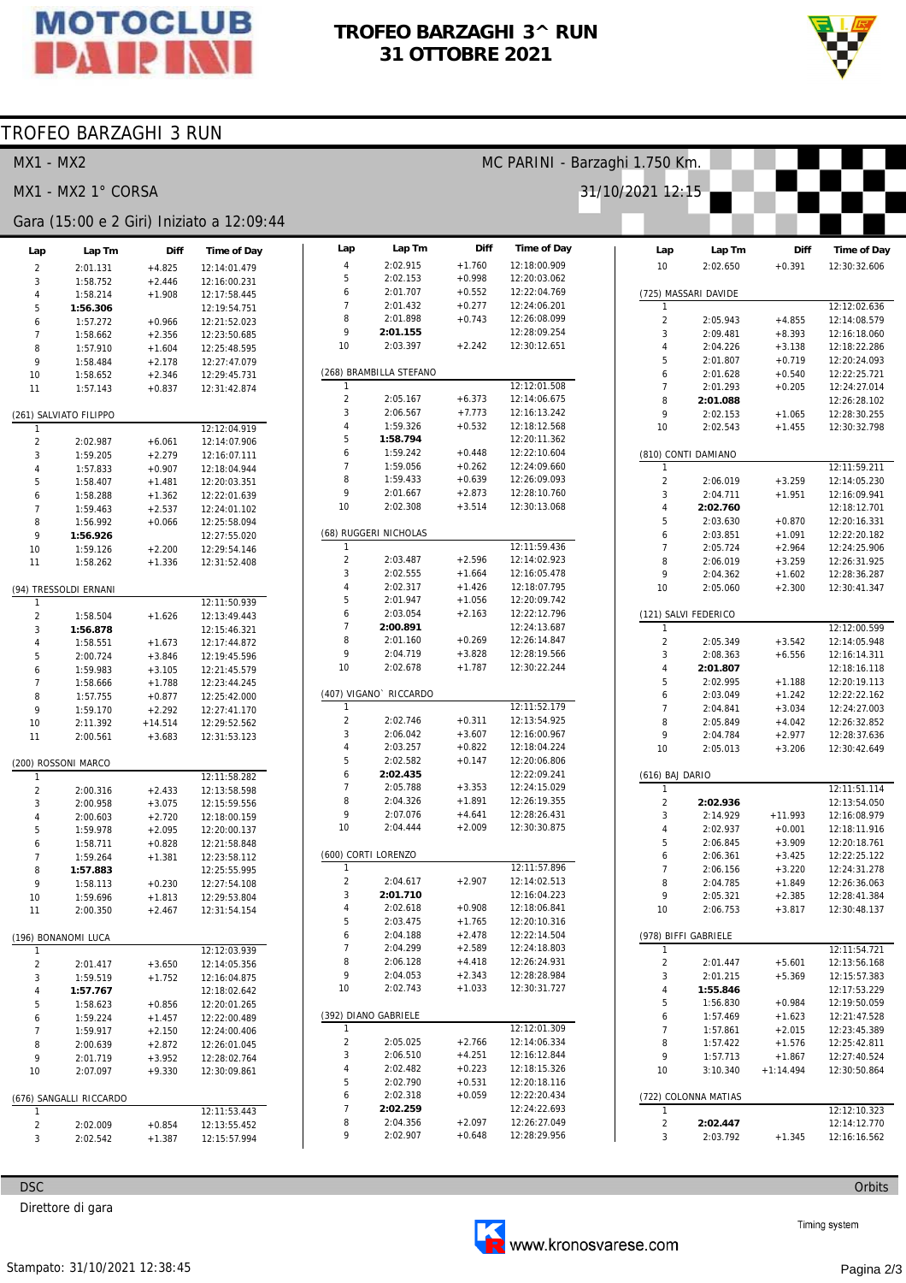

## TROFEO BARZAGHI 3^ RUN 31 OTTOBRE 2021



## TROFEO BARZAGHI 3 RUN

| <b>MX1 - MX2</b>                          |                        |                      |                              |                     | MC PARINI - Barzaghi 1.750 Km. |                      |                              |                        |                      |                         |                              |
|-------------------------------------------|------------------------|----------------------|------------------------------|---------------------|--------------------------------|----------------------|------------------------------|------------------------|----------------------|-------------------------|------------------------------|
|                                           | MX1 - MX2 1° CORSA     |                      |                              |                     |                                |                      |                              | 31/10/2021 12:15       |                      |                         |                              |
| Gara (15:00 e 2 Giri) Iniziato a 12:09:44 |                        |                      |                              |                     |                                |                      |                              |                        |                      |                         |                              |
| Lap                                       | Lap Tm                 | Diff                 | <b>Time of Day</b>           | Lap                 | Lap Tm                         | <b>Diff</b>          | Time of Day                  | Lap                    | Lap Tm               | Diff                    | <b>Time of Day</b>           |
| $\overline{2}$                            | 2:01.131               | $+4.825$             | 12:14:01.479                 | $\sqrt{4}$          | 2:02.915                       | $+1.760$             | 12:18:00.909                 | 10                     | 2:02.650             | $+0.391$                | 12:30:32.606                 |
| 3                                         | 1:58.752               | $+2.446$             | 12:16:00.231                 | 5                   | 2:02.153                       | $+0.998$             | 12:20:03.062                 |                        |                      |                         |                              |
| $\overline{4}$                            | 1:58.214               | $+1.908$             | 12:17:58.445                 | 6<br>$\overline{7}$ | 2:01.707<br>2:01.432           | $+0.552$<br>$+0.277$ | 12:22:04.769<br>12:24:06.201 |                        | (725) MASSARI DAVIDE |                         | 12:12:02.636                 |
| 5<br>6                                    | 1:56.306               |                      | 12:19:54.751                 | 8                   | 2:01.898                       | $+0.743$             | 12:26:08.099                 | $\overline{2}$         | 2:05.943             | $+4.855$                | 12:14:08.579                 |
| $\overline{7}$                            | 1:57.272<br>1:58.662   | $+0.966$<br>$+2.356$ | 12:21:52.023<br>12:23:50.685 | 9                   | 2:01.155                       |                      | 12:28:09.254                 | 3                      | 2:09.481             | $+8.393$                | 12:16:18.060                 |
| 8                                         | 1:57.910               | $+1.604$             | 12:25:48.595                 | 10                  | 2:03.397                       | $+2.242$             | 12:30:12.651                 | $\overline{4}$         | 2:04.226             | $+3.138$                | 12:18:22.286                 |
| 9                                         | 1:58.484               | $+2.178$             | 12:27:47.079                 |                     |                                |                      |                              | 5                      | 2:01.807             | $+0.719$                | 12:20:24.093                 |
| 10                                        | 1:58.652               | $+2.346$             | 12:29:45.731                 |                     | (268) BRAMBILLA STEFANO        |                      |                              | 6                      | 2:01.628             | $+0.540$                | 12:22:25.721                 |
| 11                                        | 1:57.143               | $+0.837$             | 12:31:42.874                 | $\mathbf{1}$        |                                |                      | 12:12:01.508                 | $\overline{7}$         | 2:01.293             | $+0.205$                | 12:24:27.014                 |
|                                           |                        |                      |                              | $\overline{2}$      | 2:05.167                       | $+6.373$             | 12:14:06.675                 | 8                      | 2:01.088             |                         | 12:26:28.102                 |
|                                           | (261) SALVIATO FILIPPO |                      |                              | 3                   | 2:06.567                       | $+7.773$             | 12:16:13.242                 | 9                      | 2:02.153             | $+1.065$                | 12:28:30.255                 |
| $\mathbf{1}$                              |                        |                      | 12:12:04.919                 | $\overline{4}$<br>5 | 1:59.326                       | $+0.532$             | 12:18:12.568                 | 10                     | 2:02.543             | $+1.455$                | 12:30:32.798                 |
| $\overline{2}$                            | 2:02.987               | $+6.061$             | 12:14:07.906                 | 6                   | 1:58.794<br>1:59.242           | $+0.448$             | 12:20:11.362<br>12:22:10.604 |                        |                      |                         |                              |
| 3                                         | 1:59.205               | $+2.279$             | 12:16:07.111                 | $\overline{7}$      | 1:59.056                       | $+0.262$             | 12:24:09.660                 | -1                     | (810) CONTI DAMIANO  |                         | 12:11:59.211                 |
| $\overline{4}$<br>5                       | 1:57.833<br>1:58.407   | $+0.907$<br>$+1.481$ | 12:18:04.944<br>12:20:03.351 | 8                   | 1:59.433                       | $+0.639$             | 12:26:09.093                 | $\overline{2}$         | 2:06.019             | $+3.259$                | 12:14:05.230                 |
| 6                                         | 1:58.288               | $+1.362$             | 12:22:01.639                 | 9                   | 2:01.667                       | $+2.873$             | 12:28:10.760                 | 3                      | 2:04.711             | $+1.951$                | 12:16:09.941                 |
| $\overline{7}$                            | 1:59.463               | $+2.537$             | 12:24:01.102                 | 10                  | 2:02.308                       | $+3.514$             | 12:30:13.068                 | 4                      | 2:02.760             |                         | 12:18:12.701                 |
| 8                                         | 1:56.992               | $+0.066$             | 12:25:58.094                 |                     |                                |                      |                              | 5                      | 2:03.630             | $+0.870$                | 12:20:16.331                 |
| 9                                         | 1:56.926               |                      | 12:27:55.020                 |                     | (68) RUGGERI NICHOLAS          |                      |                              | 6                      | 2:03.851             | $+1.091$                | 12:22:20.182                 |
| 10                                        | 1:59.126               | $+2.200$             | 12:29:54.146                 | 1                   |                                |                      | 12:11:59.436                 | $\overline{7}$         | 2:05.724             | $+2.964$                | 12:24:25.906                 |
| 11                                        | 1:58.262               | $+1.336$             | 12:31:52.408                 | $\overline{2}$      | 2:03.487                       | $+2.596$             | 12:14:02.923                 | 8                      | 2:06.019             | $+3.259$                | 12:26:31.925                 |
|                                           |                        |                      |                              | 3                   | 2:02.555                       | $+1.664$             | 12:16:05.478                 | 9                      | 2:04.362             | $+1.602$                | 12:28:36.287                 |
|                                           | (94) TRESSOLDI ERNANI  |                      |                              | 5                   | 2:02.317                       | $+1.426$             | 12:18:07.795                 | 10                     | 2:05.060             | $+2.300$                | 12:30:41.347                 |
| 1                                         |                        |                      | 12:11:50.939                 | 6                   | 2:01.947<br>2:03.054           | $+1.056$<br>$+2.163$ | 12:20:09.742<br>12:22:12.796 |                        | (121) SALVI FEDERICO |                         |                              |
| $\overline{2}$<br>3                       | 1:58.504<br>1:56.878   | $+1.626$             | 12:13:49.443<br>12:15:46.321 | $\overline{7}$      | 2:00.891                       |                      | 12:24:13.687                 | 1                      |                      |                         | 12:12:00.599                 |
| $\overline{4}$                            | 1:58.551               | $+1.673$             | 12:17:44.872                 | 8                   | 2:01.160                       | $+0.269$             | 12:26:14.847                 | $\sqrt{2}$             | 2:05.349             | $+3.542$                | 12:14:05.948                 |
| 5                                         | 2:00.724               | $+3.846$             | 12:19:45.596                 | 9                   | 2:04.719                       | $+3.828$             | 12:28:19.566                 | 3                      | 2:08.363             | $+6.556$                | 12:16:14.311                 |
| 6                                         | 1:59.983               | $+3.105$             | 12:21:45.579                 | 10                  | 2:02.678                       | $+1.787$             | 12:30:22.244                 | $\overline{4}$         | 2:01.807             |                         | 12:18:16.118                 |
| $\overline{7}$                            | 1:58.666               | $+1.788$             | 12:23:44.245                 |                     |                                |                      |                              | 5                      | 2:02.995             | $+1.188$                | 12:20:19.113                 |
| 8                                         | 1:57.755               | $+0.877$             | 12:25:42.000                 |                     | (407) VIGANO RICCARDO          |                      |                              | 6                      | 2:03.049             | $+1.242$                | 12:22:22.162                 |
| 9                                         | 1:59.170               | $+2.292$             | 12:27:41.170                 | 1                   |                                |                      | 12:11:52.179                 | $\overline{7}$         | 2:04.841             | $+3.034$                | 12:24:27.003                 |
| 10                                        | 2:11.392               | $+14.514$            | 12:29:52.562                 | $\overline{2}$      | 2:02.746                       | $+0.311$             | 12:13:54.925                 | 8                      | 2:05.849             | $+4.042$                | 12:26:32.852                 |
| 11                                        | 2:00.561               | $+3.683$             | 12:31:53.123                 | 3<br>$\overline{4}$ | 2:06.042<br>2:03.257           | $+3.607$<br>$+0.822$ | 12:16:00.967<br>12:18:04.224 | 9                      | 2:04.784             | $+2.977$                | 12:28:37.636                 |
|                                           |                        |                      |                              | 5                   | 2:02.582                       | $+0.147$             | 12:20:06.806                 | 10                     | 2:05.013             | $+3.206$                | 12:30:42.649                 |
| 1                                         | (200) ROSSONI MARCO    |                      | 12:11:58.282                 | 6                   | 2:02.435                       |                      | 12:22:09.241                 | (616) BAJ DARIO        |                      |                         |                              |
| $\overline{2}$                            | 2:00.316               | $+2.433$             | 12:13:58.598                 | $\overline{7}$      | 2:05.788                       | $+3.353$             | 12:24:15.029                 |                        |                      |                         | 12:11:51.114                 |
| 3                                         | 2:00.958               | $+3.075$             | 12:15:59.556                 | 8                   | 2:04.326                       | $+1.891$             | 12:26:19.355                 | $\overline{2}$         | 2:02.936             |                         | 12:13:54.050                 |
| $\overline{4}$                            | 2:00.603               | $+2.720$             | 12:18:00.159                 | 9                   | 2:07.076                       | $+4.641$             | 12:28:26.431                 | 3                      | 2:14.929             | $+11.993$               | 12:16:08.979                 |
|                                           | 1:59.978               | $+2.095$             | 12:20:00.137                 | 10                  | 2:04.444                       | $+2.009$             | 12:30:30.875                 | $\boldsymbol{\Lambda}$ | 2:02.937             | $+0.001$                | 12:18:11.916                 |
| 6                                         | 1:58.711               | $+0.828$             | 12:21:58.848                 |                     |                                |                      |                              | 5                      | 2:06.845             | $+3.909$                | 12:20:18.761                 |
| $\overline{7}$                            | 1:59.264               | $+1.381$             | 12:23:58.112                 |                     | (600) CORTI LORENZO            |                      |                              | 6                      | 2:06.361             | $+3.425$                | 12:22:25.122                 |
| 8                                         | 1:57.883               |                      | 12:25:55.995                 | 1                   |                                |                      | 12:11:57.896                 | $\overline{7}$         | 2:06.156             | $+3.220$                | 12:24:31.278                 |
| 9                                         | 1:58.113               | $+0.230$             | 12:27:54.108                 | $\overline{2}$<br>3 | 2:04.617                       | $+2.907$             | 12:14:02.513                 | 8                      | 2:04.785             | $+1.849$                | 12:26:36.063                 |
| 10                                        | 1:59.696               | $+1.813$             | 12:29:53.804                 | $\overline{4}$      | 2:01.710<br>2:02.618           | $+0.908$             | 12:16:04.223<br>12:18:06.841 | 9                      | 2:05.321             | $+2.385$                | 12:28:41.384                 |
| 11                                        | 2:00.350               | $+2.467$             | 12:31:54.154                 | 5                   | 2:03.475                       | $+1.765$             | 12:20:10.316                 | 10                     | 2:06.753             | $+3.817$                | 12:30:48.137                 |
|                                           | (196) BONANOMI LUCA    |                      |                              | 6                   | 2:04.188                       | $+2.478$             | 12:22:14.504                 |                        | (978) BIFFI GABRIELE |                         |                              |
| $\mathbf{1}$                              |                        |                      | 12:12:03.939                 | $\overline{7}$      | 2:04.299                       | $+2.589$             | 12:24:18.803                 |                        |                      |                         | 12:11:54.721                 |
| $\overline{2}$                            | 2:01.417               | $+3.650$             | 12:14:05.356                 | 8                   | 2:06.128                       | $+4.418$             | 12:26:24.931                 | $\sqrt{2}$             | 2:01.447             | $+5.601$                | 12:13:56.168                 |
| 3                                         | 1:59.519               | $+1.752$             | 12:16:04.875                 | 9                   | 2:04.053                       | $+2.343$             | 12:28:28.984                 | 3                      | 2:01.215             | $+5.369$                | 12:15:57.383                 |
| 4                                         | 1:57.767               |                      | 12:18:02.642                 | 10                  | 2:02.743                       | $+1.033$             | 12:30:31.727                 | $\overline{4}$         | 1:55.846             |                         | 12:17:53.229                 |
| 5                                         | 1:58.623               | $+0.856$             | 12:20:01.265                 |                     |                                |                      |                              | 5                      | 1:56.830             | $+0.984$                | 12:19:50.059                 |
| 6                                         | 1:59.224               | $+1.457$             | 12:22:00.489                 |                     | (392) DIANO GABRIELE           |                      |                              | 6                      | 1:57.469             | $+1.623$                | 12:21:47.528                 |
| $\overline{7}$                            | 1:59.917               | $+2.150$             | 12:24:00.406                 | $\mathbf{1}$        |                                |                      | 12:12:01.309                 | 7                      | 1:57.861             | $+2.015$                | 12:23:45.389                 |
| 8                                         | 2:00.639               | $+2.872$             | 12:26:01.045                 | $\overline{2}$<br>3 | 2:05.025<br>2:06.510           | $+2.766$<br>$+4.251$ | 12:14:06.334<br>12:16:12.844 | 8<br>9                 | 1:57.422             | $+1.576$                | 12:25:42.811<br>12:27:40.524 |
| 9                                         | 2:01.719               | $+3.952$             | 12:28:02.764                 | $\overline{4}$      | 2:02.482                       | $+0.223$             | 12:18:15.326                 | 10                     | 1:57.713<br>3:10.340 | $+1.867$<br>$+1:14.494$ | 12:30:50.864                 |
| 10                                        | 2:07.097               | $+9.330$             | 12:30:09.861                 | 5                   | 2:02.790                       | $+0.531$             | 12:20:18.116                 |                        |                      |                         |                              |
| (676) SANGALLI RICCARDO                   |                        |                      | 6                            | 2:02.318            | $+0.059$                       | 12:22:20.434         |                              | (722) COLONNA MATIAS   |                      |                         |                              |
| 1                                         |                        |                      | 12:11:53.443                 | $\overline{7}$      | 2:02.259                       |                      | 12:24:22.693                 |                        |                      |                         | 12:12:10.323                 |
| $\overline{2}$                            | 2:02.009               | $+0.854$             | 12:13:55.452                 | 8                   | 2:04.356                       | $+2.097$             | 12:26:27.049                 | $\overline{2}$         | 2:02.447             |                         | 12:14:12.770                 |
| 3                                         | 2:02.542               | $+1.387$             | 12:15:57.994                 | 9                   | 2:02.907                       | $+0.648$             | 12:28:29.956                 | 3                      | 2:03.792             | $+1.345$                | 12:16:16.562                 |
|                                           |                        |                      |                              |                     |                                |                      |                              |                        |                      |                         |                              |

**DSC** 

Direttore di gara





Orbits